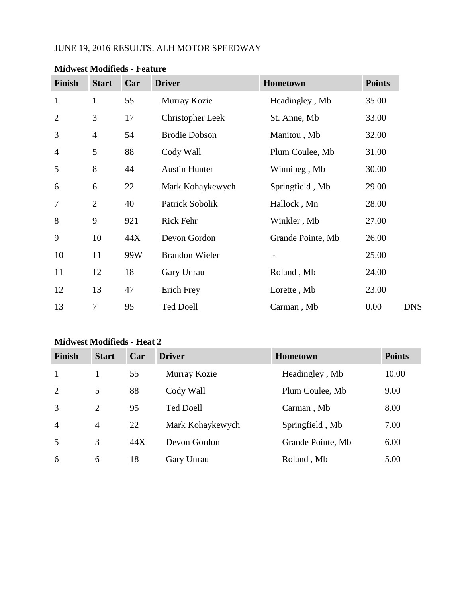# JUNE 19, 2016 RESULTS. ALH MOTOR SPEEDWAY

| <b>Finish</b>  | <b>Start</b>   | Car | <b>Driver</b>         | Hometown                 | <b>Points</b> |
|----------------|----------------|-----|-----------------------|--------------------------|---------------|
| $\mathbf{1}$   | $\mathbf{1}$   | 55  | Murray Kozie          | Headingley, Mb           | 35.00         |
| $\overline{2}$ | 3              | 17  | Christopher Leek      | St. Anne, Mb             | 33.00         |
| 3              | $\overline{4}$ | 54  | <b>Brodie Dobson</b>  | Manitou, Mb              | 32.00         |
| $\overline{4}$ | 5              | 88  | Cody Wall             | Plum Coulee, Mb          | 31.00         |
| 5              | 8              | 44  | <b>Austin Hunter</b>  | Winnipeg, Mb             | 30.00         |
| 6              | 6              | 22  | Mark Kohaykewych      | Springfield, Mb          | 29.00         |
| 7              | $\overline{2}$ | 40  | Patrick Sobolik       | Hallock, Mn              | 28.00         |
| 8              | 9              | 921 | Rick Fehr             | Winkler, Mb              | 27.00         |
| 9              | 10             | 44X | Devon Gordon          | Grande Pointe, Mb        | 26.00         |
| 10             | 11             | 99W | <b>Brandon Wieler</b> | $\overline{\phantom{a}}$ | 25.00         |
| 11             | 12             | 18  | Gary Unrau            | Roland, Mb               | 24.00         |
| 12             | 13             | 47  | Erich Frey            | Lorette, Mb              | 23.00         |
| 13             | 7              | 95  | <b>Ted Doell</b>      | Carman, Mb               | 0.00          |

#### **Midwest Modifieds - Feature**

# **Midwest Modifieds - Heat 2**

| <b>Finish</b>  | <b>Start</b>   | Car | <b>Driver</b>    | <b>Hometown</b>   | <b>Points</b> |
|----------------|----------------|-----|------------------|-------------------|---------------|
| $\mathbf{1}$   |                | 55  | Murray Kozie     | Headingley, Mb    | 10.00         |
| 2              | 5              | 88  | Cody Wall        | Plum Coulee, Mb   | 9.00          |
| 3              | $\overline{2}$ | 95  | <b>Ted Doell</b> | Carman, Mb        | 8.00          |
| $\overline{4}$ | $\overline{4}$ | 22  | Mark Kohaykewych | Springfield, Mb   | 7.00          |
| 5              | 3              | 44X | Devon Gordon     | Grande Pointe, Mb | 6.00          |
| 6              | 6              | 18  | Gary Unrau       | Roland, Mb        | 5.00          |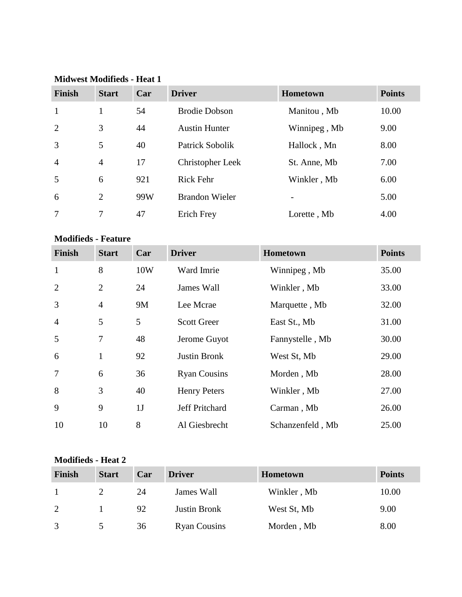| <b>Finish</b>              | <b>Start</b>   | Car       | <b>Driver</b>         | Hometown         | <b>Points</b> |
|----------------------------|----------------|-----------|-----------------------|------------------|---------------|
| $\mathbf{1}$               | $\mathbf{1}$   | 54        | <b>Brodie Dobson</b>  | Manitou, Mb      | 10.00         |
| $\overline{2}$             | 3              | 44        | <b>Austin Hunter</b>  | Winnipeg, Mb     | 9.00          |
| 3                          | 5              | 40        | Patrick Sobolik       | Hallock, Mn      | 8.00          |
| $\overline{4}$             | $\overline{4}$ | 17        | Christopher Leek      | St. Anne, Mb     | 7.00          |
| 5                          | 6              | 921       | <b>Rick Fehr</b>      | Winkler, Mb      | 6.00          |
| 6                          | $\overline{2}$ | 99W       | <b>Brandon Wieler</b> |                  | 5.00          |
| 7                          | $\tau$         | 47        | <b>Erich Frey</b>     | Lorette, Mb      | 4.00          |
| <b>Modifieds - Feature</b> |                |           |                       |                  |               |
| <b>Finish</b>              | <b>Start</b>   | Car       | <b>Driver</b>         | Hometown         | <b>Points</b> |
| $\mathbf{1}$               | 8              | 10W       | Ward Imrie            | Winnipeg, Mb     | 35.00         |
| $\overline{2}$             | $\overline{2}$ | 24        | James Wall            | Winkler, Mb      | 33.00         |
| 3                          | $\overline{4}$ | <b>9M</b> | Lee Mcrae             | Marquette, Mb    | 32.00         |
| $\overline{4}$             | 5              | 5         | <b>Scott Greer</b>    | East St., Mb     | 31.00         |
| 5                          | $\overline{7}$ | 48        | Jerome Guyot          | Fannystelle, Mb  | 30.00         |
| 6                          | $\mathbf{1}$   | 92        | <b>Justin Bronk</b>   | West St, Mb      | 29.00         |
| 7                          | 6              | 36        | <b>Ryan Cousins</b>   | Morden, Mb       | 28.00         |
| 8                          | 3              | 40        | <b>Henry Peters</b>   | Winkler, Mb      | 27.00         |
| 9                          | 9              | 1J        | Jeff Pritchard        | Carman, Mb       | 26.00         |
| 10                         | 10             | 8         | Al Giesbrecht         | Schanzenfeld, Mb | 25.00         |

#### **Midwest Modifieds - Heat 1**

### **Modifieds - Heat 2**

| Finish | <b>Start</b> | Car | <b>Driver</b>       | <b>Hometown</b> | <b>Points</b> |
|--------|--------------|-----|---------------------|-----------------|---------------|
|        |              | 24  | James Wall          | Winkler, Mb     | 10.00         |
| 2      |              | 92  | <b>Justin Bronk</b> | West St, Mb     | 9.00          |
| 3      |              | 36  | <b>Ryan Cousins</b> | Morden, Mb      | 8.00          |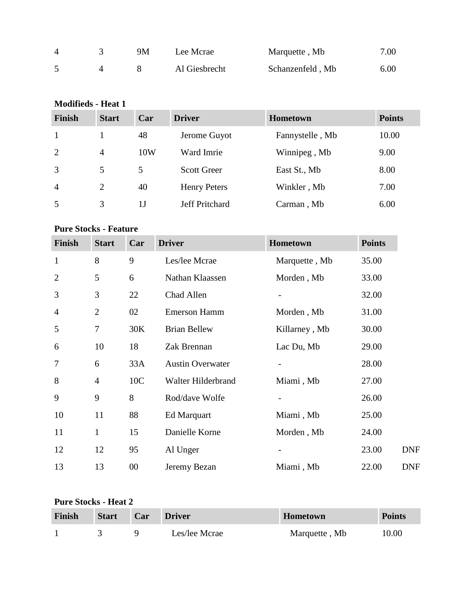| $\Delta$ | 9Μ | Lee Mcrae     | Marquette, Mb    | 7.00 |
|----------|----|---------------|------------------|------|
|          |    | Al Giesbrecht | Schanzenfeld, Mb | 6.00 |

# **Modifieds - Heat 1**

| <b>Finish</b>  | <b>Start</b>   | Car | <b>Driver</b>         | <b>Hometown</b> | <b>Points</b> |
|----------------|----------------|-----|-----------------------|-----------------|---------------|
|                |                | 48  | Jerome Guyot          | Fannystelle, Mb | 10.00         |
| 2              | $\overline{4}$ | 10W | Ward Imrie            | Winnipeg, Mb    | 9.00          |
| 3              | 5              | 5.  | <b>Scott Greer</b>    | East St., Mb    | 8.00          |
| $\overline{4}$ | 2              | 40  | <b>Henry Peters</b>   | Winkler, Mb     | 7.00          |
| 5              | 3              | 1 J | <b>Jeff Pritchard</b> | Carman, Mb      | 6.00          |

### **Pure Stocks - Feature**

| <b>Finish</b>  | <b>Start</b>   | Car    | <b>Driver</b>           | Hometown      | <b>Points</b> |            |
|----------------|----------------|--------|-------------------------|---------------|---------------|------------|
| $\mathbf{1}$   | 8              | 9      | Les/lee Mcrae           | Marquette, Mb | 35.00         |            |
| $\overline{2}$ | 5              | 6      | Nathan Klaassen         | Morden, Mb    | 33.00         |            |
| 3              | 3              | 22     | Chad Allen              |               | 32.00         |            |
| $\overline{4}$ | $\overline{2}$ | 02     | <b>Emerson Hamm</b>     | Morden, Mb    | 31.00         |            |
| 5              | 7              | 30K    | <b>Brian Bellew</b>     | Killarney, Mb | 30.00         |            |
| 6              | 10             | 18     | Zak Brennan             | Lac Du, Mb    | 29.00         |            |
| 7              | 6              | 33A    | <b>Austin Overwater</b> |               | 28.00         |            |
| 8              | $\overline{4}$ | 10C    | Walter Hilderbrand      | Miami, Mb     | 27.00         |            |
| 9              | 9              | 8      | Rod/dave Wolfe          |               | 26.00         |            |
| 10             | 11             | 88     | <b>Ed Marquart</b>      | Miami, Mb     | 25.00         |            |
| 11             | $\mathbf{1}$   | 15     | Danielle Korne          | Morden, Mb    | 24.00         |            |
| 12             | 12             | 95     | Al Unger                |               | 23.00         | <b>DNF</b> |
| 13             | 13             | $00\,$ | Jeremy Bezan            | Miami, Mb     | 22.00         | <b>DNF</b> |

### **Pure Stocks - Heat 2**

| Finish | <b>Start</b> | Car | <b>Driver</b> | Hometown      | <b>Points</b> |
|--------|--------------|-----|---------------|---------------|---------------|
|        |              |     | Les/lee Mcrae | Marquette, Mb | 10.00         |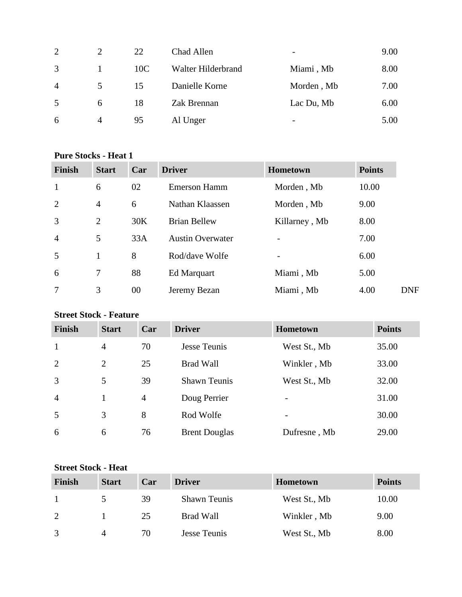| $\overline{2}$ |                | 22  | Chad Allen         | -          | 9.00 |
|----------------|----------------|-----|--------------------|------------|------|
| 3              |                | 10C | Walter Hilderbrand | Miami, Mb  | 8.00 |
| $\overline{4}$ | 5.             | 15  | Danielle Korne     | Morden, Mb | 7.00 |
| 5              | 6              | 18  | Zak Brennan        | Lac Du, Mb | 6.00 |
| 6              | $\overline{4}$ | 95  | Al Unger           | -          | 5.00 |

### **Pure Stocks - Heat 1**

| <b>Finish</b>  | <b>Start</b>   | Car | <b>Driver</b>           | <b>Hometown</b>          | <b>Points</b> |
|----------------|----------------|-----|-------------------------|--------------------------|---------------|
| $\mathbf{1}$   | 6              | 02  | <b>Emerson Hamm</b>     | Morden, Mb               | 10.00         |
| 2              | $\overline{4}$ | 6   | Nathan Klaassen         | Morden, Mb               | 9.00          |
| $\overline{3}$ | $\overline{2}$ | 30K | <b>Brian Bellew</b>     | Killarney, Mb            | 8.00          |
| $\overline{4}$ | 5              | 33A | <b>Austin Overwater</b> |                          | 7.00          |
| 5              | 1              | 8   | Rod/dave Wolfe          | $\overline{\phantom{0}}$ | 6.00          |
| 6              | 7              | 88  | Ed Marquart             | Miami, Mb                | 5.00          |
| 7              | 3              | 00  | Jeremy Bezan            | Miami, Mb                | 4.00          |

# **Street Stock - Feature**

| Finish         | <b>Start</b>   | Car            | <b>Driver</b>        | <b>Hometown</b> | <b>Points</b> |
|----------------|----------------|----------------|----------------------|-----------------|---------------|
| $\mathbf{1}$   | $\overline{4}$ | 70             | Jesse Teunis         | West St., Mb    | 35.00         |
| 2              | $\overline{2}$ | 25             | <b>Brad Wall</b>     | Winkler, Mb     | 33.00         |
| 3              | 5              | 39             | <b>Shawn Teunis</b>  | West St., Mb    | 32.00         |
| $\overline{4}$ |                | $\overline{4}$ | Doug Perrier         | -               | 31.00         |
| 5              | 3              | 8              | Rod Wolfe            | -               | 30.00         |
| 6              | 6              | 76             | <b>Brent Douglas</b> | Dufresne, Mb    | 29.00         |

### **Street Stock - Heat**

| Finish | <b>Start</b>  | Car | <b>Driver</b>       | <b>Hometown</b> | <b>Points</b> |
|--------|---------------|-----|---------------------|-----------------|---------------|
|        | $\mathcal{D}$ | 39  | <b>Shawn Teunis</b> | West St., Mb    | 10.00         |
| 2      |               | 25  | Brad Wall           | Winkler, Mb     | 9.00          |
| 3      | 4             | 70  | Jesse Teunis        | West St., Mb    | 8.00          |